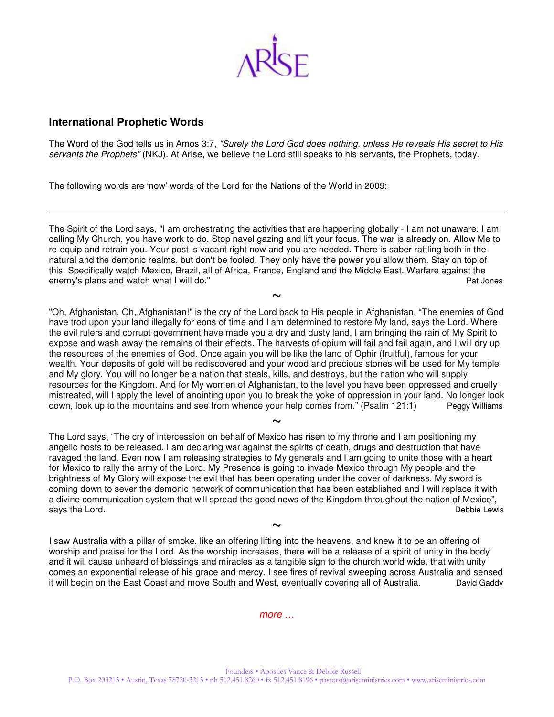

### **International Prophetic Words**

The Word of the God tells us in Amos 3:7, "Surely the Lord God does nothing, unless He reveals His secret to His servants the Prophets" (NKJ). At Arise, we believe the Lord still speaks to his servants, the Prophets, today.

The following words are 'now' words of the Lord for the Nations of the World in 2009:

The Spirit of the Lord says, "I am orchestrating the activities that are happening globally - I am not unaware. I am calling My Church, you have work to do. Stop navel gazing and lift your focus. The war is already on. Allow Me to re-equip and retrain you. Your post is vacant right now and you are needed. There is saber rattling both in the natural and the demonic realms, but don't be fooled. They only have the power you allow them. Stay on top of this. Specifically watch Mexico, Brazil, all of Africa, France, England and the Middle East. Warfare against the enemy's plans and watch what I will do." energy and the state of the state of the Pat Jones Pat Jones Pat Jones

 $\sim$ "Oh, Afghanistan, Oh, Afghanistan!" is the cry of the Lord back to His people in Afghanistan. "The enemies of God have trod upon your land illegally for eons of time and I am determined to restore My land, says the Lord. Where the evil rulers and corrupt government have made you a dry and dusty land, I am bringing the rain of My Spirit to expose and wash away the remains of their effects. The harvests of opium will fail and fail again, and I will dry up the resources of the enemies of God. Once again you will be like the land of Ophir (fruitful), famous for your wealth. Your deposits of gold will be rediscovered and your wood and precious stones will be used for My temple and My glory. You will no longer be a nation that steals, kills, and destroys, but the nation who will supply resources for the Kingdom. And for My women of Afghanistan, to the level you have been oppressed and cruelly mistreated, will I apply the level of anointing upon you to break the yoke of oppression in your land. No longer look<br>down, look up to the mountains and see from whence your help comes from." (Psalm 121:1) Peaav Williams down, look up to the mountains and see from whence your help comes from." (Psalm 121:1)

 $\sim$ The Lord says, "The cry of intercession on behalf of Mexico has risen to my throne and I am positioning my angelic hosts to be released. I am declaring war against the spirits of death, drugs and destruction that have ravaged the land. Even now I am releasing strategies to My generals and I am going to unite those with a heart for Mexico to rally the army of the Lord. My Presence is going to invade Mexico through My people and the brightness of My Glory will expose the evil that has been operating under the cover of darkness. My sword is coming down to sever the demonic network of communication that has been established and I will replace it with a divine communication system that will spread the good news of the Kingdom throughout the nation of Mexico", says the Lord.

 $\sim$ I saw Australia with a pillar of smoke, like an offering lifting into the heavens, and knew it to be an offering of worship and praise for the Lord. As the worship increases, there will be a release of a spirit of unity in the body and it will cause unheard of blessings and miracles as a tangible sign to the church world wide, that with unity comes an exponential release of his grace and mercy. I see fires of revival sweeping across Australia and sensed it will begin on the East Coast and move South and West, eventually covering all of Australia. David Gaddy

more …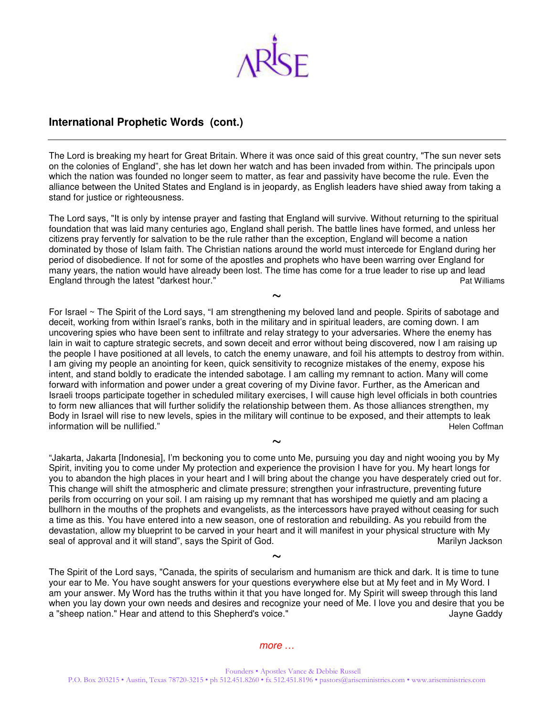

# **International Prophetic Words (cont.)**

The Lord is breaking my heart for Great Britain. Where it was once said of this great country, "The sun never sets on the colonies of England", she has let down her watch and has been invaded from within. The principals upon which the nation was founded no longer seem to matter, as fear and passivity have become the rule. Even the alliance between the United States and England is in jeopardy, as English leaders have shied away from taking a stand for justice or righteousness.

The Lord says, "It is only by intense prayer and fasting that England will survive. Without returning to the spiritual foundation that was laid many centuries ago, England shall perish. The battle lines have formed, and unless her citizens pray fervently for salvation to be the rule rather than the exception, England will become a nation dominated by those of Islam faith. The Christian nations around the world must intercede for England during her period of disobedience. If not for some of the apostles and prophets who have been warring over England for many years, the nation would have already been lost. The time has come for a true leader to rise up and lead England through the latest "darkest hour." The same states when the state of the Pat Williams Pat Williams

 $\sim$ For Israel ~ The Spirit of the Lord says, "I am strengthening my beloved land and people. Spirits of sabotage and deceit, working from within Israel's ranks, both in the military and in spiritual leaders, are coming down. I am uncovering spies who have been sent to infiltrate and relay strategy to your adversaries. Where the enemy has lain in wait to capture strategic secrets, and sown deceit and error without being discovered, now I am raising up the people I have positioned at all levels, to catch the enemy unaware, and foil his attempts to destroy from within. I am giving my people an anointing for keen, quick sensitivity to recognize mistakes of the enemy, expose his intent, and stand boldly to eradicate the intended sabotage. I am calling my remnant to action. Many will come forward with information and power under a great covering of my Divine favor. Further, as the American and Israeli troops participate together in scheduled military exercises, I will cause high level officials in both countries to form new alliances that will further solidify the relationship between them. As those alliances strengthen, my Body in Israel will rise to new levels, spies in the military will continue to be exposed, and their attempts to leak information will be nullified." The nullified of the state of the state of the state of the state of the state of the state of the state of the state of the state of the state of the state of the state of the state of the

"Jakarta, Jakarta [Indonesia], I'm beckoning you to come unto Me, pursuing you day and night wooing you by My Spirit, inviting you to come under My protection and experience the provision I have for you. My heart longs for you to abandon the high places in your heart and I will bring about the change you have desperately cried out for. This change will shift the atmospheric and climate pressure; strengthen your infrastructure, preventing future perils from occurring on your soil. I am raising up my remnant that has worshiped me quietly and am placing a bullhorn in the mouths of the prophets and evangelists, as the intercessors have prayed without ceasing for such a time as this. You have entered into a new season, one of restoration and rebuilding. As you rebuild from the devastation, allow my blueprint to be carved in your heart and it will manifest in your physical structure with My seal of approval and it will stand", says the Spirit of God. Marilyn Jackson Marilyn Jackson

~

The Spirit of the Lord says, "Canada, the spirits of secularism and humanism are thick and dark. It is time to tune your ear to Me. You have sought answers for your questions everywhere else but at My feet and in My Word. I am your answer. My Word has the truths within it that you have longed for. My Spirit will sweep through this land when you lay down your own needs and desires and recognize your need of Me. I love you and desire that you be a "sheep nation." Hear and attend to this Shepherd's voice." Shephered a state of the state of the Gaddy

 $\sim$ 

#### more …